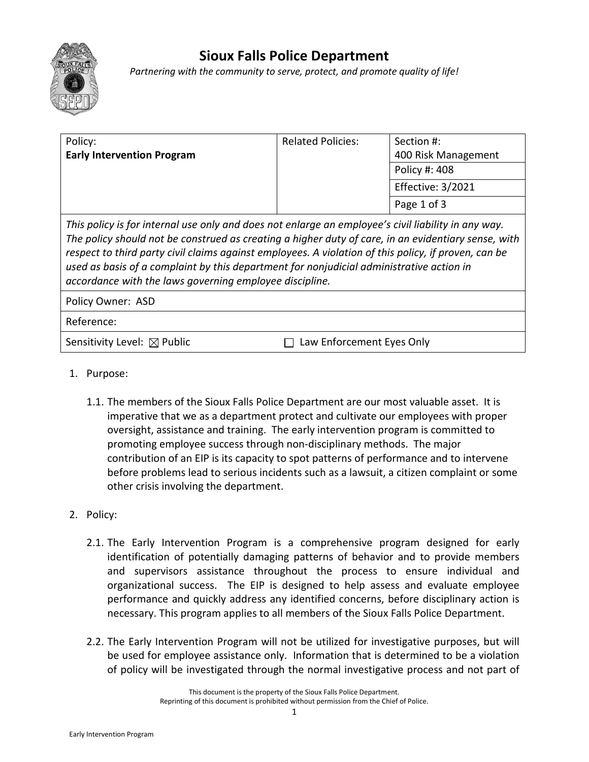

## **Sioux Falls Police Department**

*Partnering with the community to serve, protect, and promote quality of life!*

| Policy:                                                                                             | <b>Related Policies:</b> | Section #:          |
|-----------------------------------------------------------------------------------------------------|--------------------------|---------------------|
| <b>Early Intervention Program</b>                                                                   |                          | 400 Risk Management |
|                                                                                                     |                          | Policy #: 408       |
|                                                                                                     |                          | Effective: 3/2021   |
|                                                                                                     |                          | Page 1 of 3         |
| This policy is for internal use only and does not enlarge an employee's civil liability in any way. |                          |                     |

*This policy is for internal use only and does not enlarge an employee's civil liability in any way. The policy should not be construed as creating a higher duty of care, in an evidentiary sense, with respect to third party civil claims against employees. A violation of this policy, if proven, can be used as basis of a complaint by this department for nonjudicial administrative action in accordance with the laws governing employee discipline.*

Policy Owner: ASD

## Reference:

Sensitivity Level:  $\boxtimes$  Public  $\Box$  Law Enforcement Eyes Only

- 1. Purpose:
	- 1.1. The members of the Sioux Falls Police Department are our most valuable asset. It is imperative that we as a department protect and cultivate our employees with proper oversight, assistance and training. The early intervention program is committed to promoting employee success through non-disciplinary methods. The major contribution of an EIP is its capacity to spot patterns of performance and to intervene before problems lead to serious incidents such as a lawsuit, a citizen complaint or some other crisis involving the department.
- 2. Policy:
	- 2.1. The Early Intervention Program is a comprehensive program designed for early identification of potentially damaging patterns of behavior and to provide members and supervisors assistance throughout the process to ensure individual and organizational success. The EIP is designed to help assess and evaluate employee performance and quickly address any identified concerns, before disciplinary action is necessary. This program applies to all members of the Sioux Falls Police Department.
	- 2.2. The Early Intervention Program will not be utilized for investigative purposes, but will be used for employee assistance only. Information that is determined to be a violation of policy will be investigated through the normal investigative process and not part of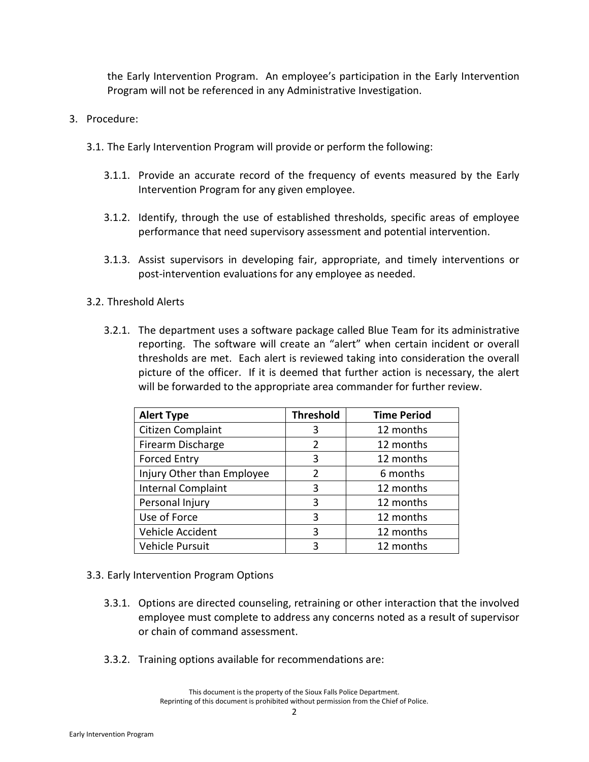the Early Intervention Program. An employee's participation in the Early Intervention Program will not be referenced in any Administrative Investigation.

- 3. Procedure:
	- 3.1. The Early Intervention Program will provide or perform the following:
		- 3.1.1. Provide an accurate record of the frequency of events measured by the Early Intervention Program for any given employee.
		- 3.1.2. Identify, through the use of established thresholds, specific areas of employee performance that need supervisory assessment and potential intervention.
		- 3.1.3. Assist supervisors in developing fair, appropriate, and timely interventions or post-intervention evaluations for any employee as needed.
	- 3.2. Threshold Alerts
		- 3.2.1. The department uses a software package called Blue Team for its administrative reporting. The software will create an "alert" when certain incident or overall thresholds are met. Each alert is reviewed taking into consideration the overall picture of the officer. If it is deemed that further action is necessary, the alert will be forwarded to the appropriate area commander for further review.

| <b>Alert Type</b>          | <b>Threshold</b> | <b>Time Period</b> |
|----------------------------|------------------|--------------------|
| Citizen Complaint          | 3                | 12 months          |
| Firearm Discharge          | $\overline{2}$   | 12 months          |
| <b>Forced Entry</b>        | 3                | 12 months          |
| Injury Other than Employee | $\overline{2}$   | 6 months           |
| Internal Complaint         | 3                | 12 months          |
| Personal Injury            | 3                | 12 months          |
| Use of Force               | 3                | 12 months          |
| Vehicle Accident           | 3                | 12 months          |
| Vehicle Pursuit            | 3                | 12 months          |

- 3.3. Early Intervention Program Options
	- 3.3.1. Options are directed counseling, retraining or other interaction that the involved employee must complete to address any concerns noted as a result of supervisor or chain of command assessment.
	- 3.3.2. Training options available for recommendations are:

This document is the property of the Sioux Falls Police Department. Reprinting of this document is prohibited without permission from the Chief of Police.